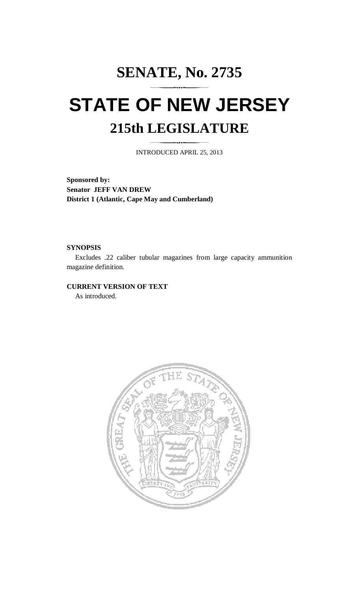## **SENATE, No. 2735 STATE OF NEW JERSEY 215th LEGISLATURE**

INTRODUCED APRIL 25, 2013

**Sponsored by: Senator JEFF VAN DREW District 1 (Atlantic, Cape May and Cumberland)** 

## **SYNOPSIS**

 Excludes .22 caliber tubular magazines from large capacity ammunition magazine definition.

## **CURRENT VERSION OF TEXT**

As introduced.

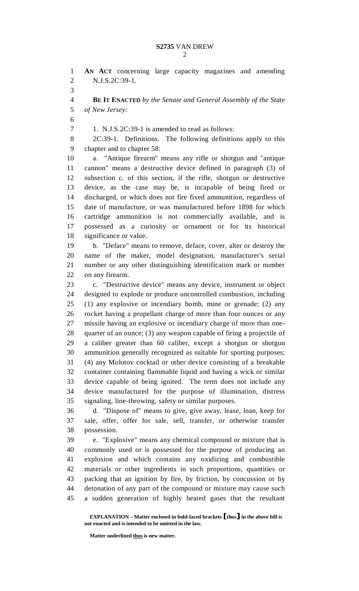1 **AN ACT** concerning large capacity magazines and amending 2 N.J.S.2C:39-1. 3 4 **BE IT ENACTED** *by the Senate and General Assembly of the State*  5 *of New Jersey:* 6 7 1. N.J.S.2C:39-1 is amended to read as follows: 8 2C:39-1. Definitions. The following definitions apply to this 9 chapter and to chapter 58: 10 a. "Antique firearm" means any rifle or shotgun and "antique 11 cannon" means a destructive device defined in paragraph (3) of 12 subsection c. of this section, if the rifle, shotgun or destructive 13 device, as the case may be, is incapable of being fired or 14 discharged, or which does not fire fixed ammunition, regardless of 15 date of manufacture, or was manufactured before 1898 for which 16 cartridge ammunition is not commercially available, and is 17 possessed as a curiosity or ornament or for its historical 18 significance or value. 19 b. "Deface" means to remove, deface, cover, alter or destroy the 20 name of the maker, model designation, manufacturer's serial 21 number or any other distinguishing identification mark or number 22 on any firearm. 23 c. "Destructive device" means any device, instrument or object 24 designed to explode or produce uncontrolled combustion, including 25 (1) any explosive or incendiary bomb, mine or grenade; (2) any 26 rocket having a propellant charge of more than four ounces or any 27 missile having an explosive or incendiary charge of more than one-28 quarter of an ounce; (3) any weapon capable of firing a projectile of 29 a caliber greater than 60 caliber, except a shotgun or shotgun 30 ammunition generally recognized as suitable for sporting purposes; 31 (4) any Molotov cocktail or other device consisting of a breakable 32 container containing flammable liquid and having a wick or similar 33 device capable of being ignited. The term does not include any 34 device manufactured for the purpose of illumination, distress 35 signaling, line-throwing, safety or similar purposes. 36 d. "Dispose of" means to give, give away, lease, loan, keep for 37 sale, offer, offer for sale, sell, transfer, or otherwise transfer 38 possession. 39 e. "Explosive" means any chemical compound or mixture that is 40 commonly used or is possessed for the purpose of producing an 41 explosion and which contains any oxidizing and combustible 42 materials or other ingredients in such proportions, quantities or 43 packing that an ignition by fire, by friction, by concussion or by 44 detonation of any part of the compound or mixture may cause such 45 a sudden generation of highly heated gases that the resultant

 **EXPLANATION – Matter enclosed in bold-faced brackets** [**thus**] **in the above bill is not enacted and is intended to be omitted in the law.** 

 **Matter underlined thus is new matter.**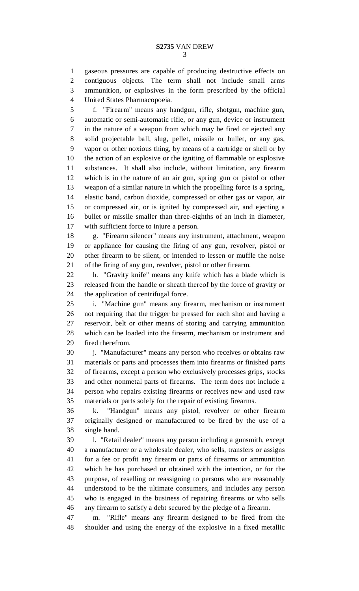1 gaseous pressures are capable of producing destructive effects on 2 contiguous objects. The term shall not include small arms 3 ammunition, or explosives in the form prescribed by the official 4 United States Pharmacopoeia.

5 f. "Firearm" means any handgun, rifle, shotgun, machine gun, 6 automatic or semi-automatic rifle, or any gun, device or instrument 7 in the nature of a weapon from which may be fired or ejected any 8 solid projectable ball, slug, pellet, missile or bullet, or any gas, 9 vapor or other noxious thing, by means of a cartridge or shell or by 10 the action of an explosive or the igniting of flammable or explosive 11 substances. It shall also include, without limitation, any firearm 12 which is in the nature of an air gun, spring gun or pistol or other 13 weapon of a similar nature in which the propelling force is a spring, 14 elastic band, carbon dioxide, compressed or other gas or vapor, air 15 or compressed air, or is ignited by compressed air, and ejecting a 16 bullet or missile smaller than three-eighths of an inch in diameter, 17 with sufficient force to injure a person.

18 g. "Firearm silencer" means any instrument, attachment, weapon 19 or appliance for causing the firing of any gun, revolver, pistol or 20 other firearm to be silent, or intended to lessen or muffle the noise 21 of the firing of any gun, revolver, pistol or other firearm.

22 h. "Gravity knife" means any knife which has a blade which is 23 released from the handle or sheath thereof by the force of gravity or 24 the application of centrifugal force.

25 i. "Machine gun" means any firearm, mechanism or instrument 26 not requiring that the trigger be pressed for each shot and having a 27 reservoir, belt or other means of storing and carrying ammunition 28 which can be loaded into the firearm, mechanism or instrument and 29 fired therefrom.

30 i. "Manufacturer" means any person who receives or obtains raw 31 materials or parts and processes them into firearms or finished parts 32 of firearms, except a person who exclusively processes grips, stocks 33 and other nonmetal parts of firearms. The term does not include a 34 person who repairs existing firearms or receives new and used raw 35 materials or parts solely for the repair of existing firearms.

36 k. "Handgun" means any pistol, revolver or other firearm 37 originally designed or manufactured to be fired by the use of a 38 single hand.

39 l. "Retail dealer" means any person including a gunsmith, except 40 a manufacturer or a wholesale dealer, who sells, transfers or assigns 41 for a fee or profit any firearm or parts of firearms or ammunition 42 which he has purchased or obtained with the intention, or for the 43 purpose, of reselling or reassigning to persons who are reasonably 44 understood to be the ultimate consumers, and includes any person 45 who is engaged in the business of repairing firearms or who sells 46 any firearm to satisfy a debt secured by the pledge of a firearm.

47 m. "Rifle" means any firearm designed to be fired from the 48 shoulder and using the energy of the explosive in a fixed metallic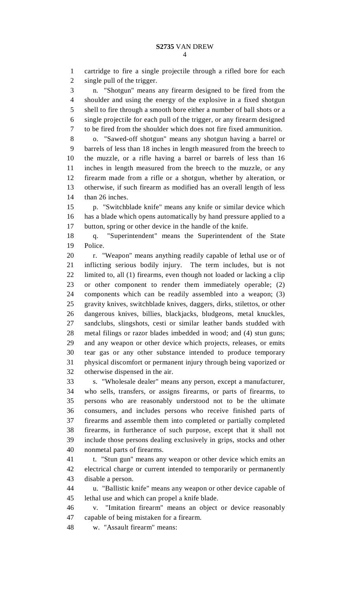1 cartridge to fire a single projectile through a rifled bore for each 2 single pull of the trigger. 3 n. "Shotgun" means any firearm designed to be fired from the 4 shoulder and using the energy of the explosive in a fixed shotgun 5 shell to fire through a smooth bore either a number of ball shots or a 6 single projectile for each pull of the trigger, or any firearm designed 7 to be fired from the shoulder which does not fire fixed ammunition. 8 o. "Sawed-off shotgun" means any shotgun having a barrel or 9 barrels of less than 18 inches in length measured from the breech to 10 the muzzle, or a rifle having a barrel or barrels of less than 16 11 inches in length measured from the breech to the muzzle, or any 12 firearm made from a rifle or a shotgun, whether by alteration, or 13 otherwise, if such firearm as modified has an overall length of less 14 than 26 inches. 15 p. "Switchblade knife" means any knife or similar device which 16 has a blade which opens automatically by hand pressure applied to a 17 button, spring or other device in the handle of the knife. 18 q. "Superintendent" means the Superintendent of the State 19 Police. 20 r. "Weapon" means anything readily capable of lethal use or of 21 inflicting serious bodily injury. The term includes, but is not 22 limited to, all (1) firearms, even though not loaded or lacking a clip 23 or other component to render them immediately operable; (2) 24 components which can be readily assembled into a weapon; (3) 25 gravity knives, switchblade knives, daggers, dirks, stilettos, or other

26 dangerous knives, billies, blackjacks, bludgeons, metal knuckles, 27 sandclubs, slingshots, cesti or similar leather bands studded with 28 metal filings or razor blades imbedded in wood; and (4) stun guns; 29 and any weapon or other device which projects, releases, or emits 30 tear gas or any other substance intended to produce temporary 31 physical discomfort or permanent injury through being vaporized or 32 otherwise dispensed in the air.

33 s. "Wholesale dealer" means any person, except a manufacturer, 34 who sells, transfers, or assigns firearms, or parts of firearms, to 35 persons who are reasonably understood not to be the ultimate 36 consumers, and includes persons who receive finished parts of 37 firearms and assemble them into completed or partially completed 38 firearms, in furtherance of such purpose, except that it shall not 39 include those persons dealing exclusively in grips, stocks and other 40 nonmetal parts of firearms.

41 t. "Stun gun" means any weapon or other device which emits an 42 electrical charge or current intended to temporarily or permanently 43 disable a person.

44 u. "Ballistic knife" means any weapon or other device capable of 45 lethal use and which can propel a knife blade.

46 v. "Imitation firearm" means an object or device reasonably 47 capable of being mistaken for a firearm.

48 w. "Assault firearm" means: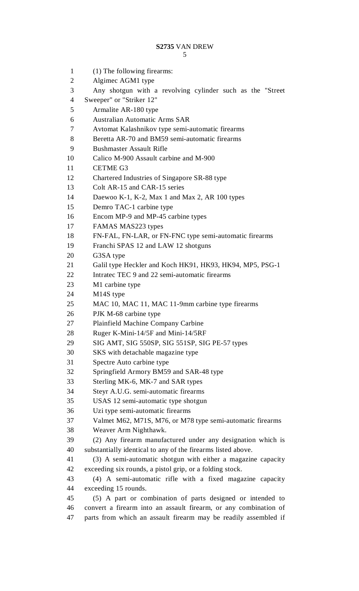5 1 (1) The following firearms: 2 Algimec AGM1 type 3 Any shotgun with a revolving cylinder such as the "Street 4 Sweeper" or "Striker 12" 5 Armalite AR-180 type 6 Australian Automatic Arms SAR 7 Avtomat Kalashnikov type semi-automatic firearms 8 Beretta AR-70 and BM59 semi-automatic firearms 9 Bushmaster Assault Rifle 10 Calico M-900 Assault carbine and M-900 11 CETME G3 12 Chartered Industries of Singapore SR-88 type 13 Colt AR-15 and CAR-15 series 14 Daewoo K-1, K-2, Max 1 and Max 2, AR 100 types 15 Demro TAC-1 carbine type 16 Encom MP-9 and MP-45 carbine types 17 FAMAS MAS223 types 18 FN-FAL, FN-LAR, or FN-FNC type semi-automatic firearms 19 Franchi SPAS 12 and LAW 12 shotguns 20 G3SA type 21 Galil type Heckler and Koch HK91, HK93, HK94, MP5, PSG-1 22 Intratec TEC 9 and 22 semi-automatic firearms 23 M1 carbine type 24 M14S type 25 MAC 10, MAC 11, MAC 11-9mm carbine type firearms 26 PJK M-68 carbine type 27 Plainfield Machine Company Carbine 28 Ruger K-Mini-14/5F and Mini-14/5RF 29 SIG AMT, SIG 550SP, SIG 551SP, SIG PE-57 types 30 SKS with detachable magazine type 31 Spectre Auto carbine type 32 Springfield Armory BM59 and SAR-48 type 33 Sterling MK-6, MK-7 and SAR types 34 Steyr A.U.G. semi-automatic firearms 35 USAS 12 semi-automatic type shotgun 36 Uzi type semi-automatic firearms 37 Valmet M62, M71S, M76, or M78 type semi-automatic firearms 38 Weaver Arm Nighthawk. 39 (2) Any firearm manufactured under any designation which is 40 substantially identical to any of the firearms listed above. 41 (3) A semi-automatic shotgun with either a magazine capacity 42 exceeding six rounds, a pistol grip, or a folding stock. 43 (4) A semi-automatic rifle with a fixed magazine capacity 44 exceeding 15 rounds. 45 (5) A part or combination of parts designed or intended to 46 convert a firearm into an assault firearm, or any combination of 47 parts from which an assault firearm may be readily assembled if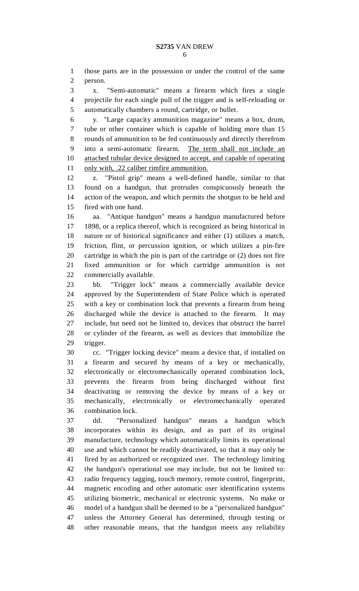1 those parts are in the possession or under the control of the same 2 person. 3 x. "Semi-automatic" means a firearm which fires a single

4 projectile for each single pull of the trigger and is self-reloading or 5 automatically chambers a round, cartridge, or bullet.

6 y. "Large capacity ammunition magazine" means a box, drum, 7 tube or other container which is capable of holding more than 15 8 rounds of ammunition to be fed continuously and directly therefrom 9 into a semi-automatic firearm. The term shall not include an 10 attached tubular device designed to accept, and capable of operating 11 only with, .22 caliber rimfire ammunition.

12 z. "Pistol grip" means a well-defined handle, similar to that 13 found on a handgun, that protrudes conspicuously beneath the 14 action of the weapon, and which permits the shotgun to be held and 15 fired with one hand.

16 aa. "Antique handgun" means a handgun manufactured before 17 1898, or a replica thereof, which is recognized as being historical in 18 nature or of historical significance and either (1) utilizes a match, 19 friction, flint, or percussion ignition, or which utilizes a pin-fire 20 cartridge in which the pin is part of the cartridge or (2) does not fire 21 fixed ammunition or for which cartridge ammunition is not 22 commercially available.

23 bb. "Trigger lock" means a commercially available device 24 approved by the Superintendent of State Police which is operated 25 with a key or combination lock that prevents a firearm from being 26 discharged while the device is attached to the firearm. It may 27 include, but need not be limited to, devices that obstruct the barrel 28 or cylinder of the firearm, as well as devices that immobilize the 29 trigger.

30 cc. "Trigger locking device" means a device that, if installed on 31 a firearm and secured by means of a key or mechanically, 32 electronically or electromechanically operated combination lock, 33 prevents the firearm from being discharged without first 34 deactivating or removing the device by means of a key or 35 mechanically, electronically or electromechanically operated 36 combination lock.

37 dd. "Personalized handgun" means a handgun which 38 incorporates within its design, and as part of its original 39 manufacture, technology which automatically limits its operational 40 use and which cannot be readily deactivated, so that it may only be 41 fired by an authorized or recognized user. The technology limiting 42 the handgun's operational use may include, but not be limited to: 43 radio frequency tagging, touch memory, remote control, fingerprint, 44 magnetic encoding and other automatic user identification systems 45 utilizing biometric, mechanical or electronic systems. No make or 46 model of a handgun shall be deemed to be a "personalized handgun" 47 unless the Attorney General has determined, through testing or 48 other reasonable means, that the handgun meets any reliability